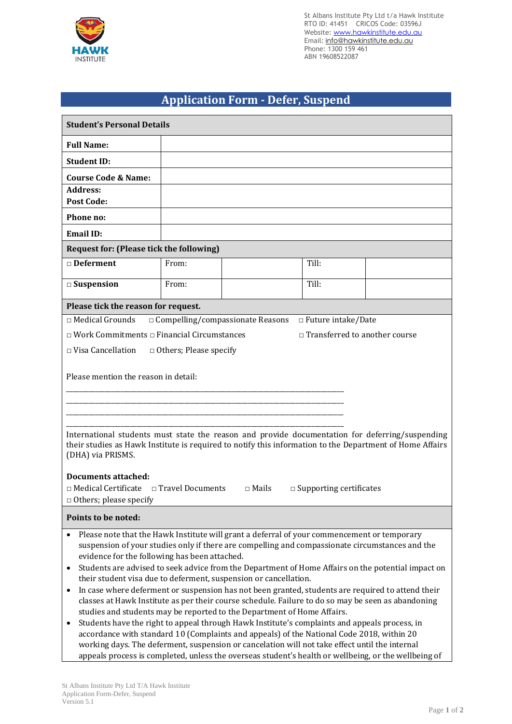

St Albans Institute Pty Ltd t/a Hawk Institute RTO ID: 41451 CRICOS Code: 03596J Website: www.hawkinstitute.edu.au Email: [info@hawkinstitute.edu.au](mailto:info@hawkinstitute.edu.au) Phone: 1300 159 461 ABN 19608522087

## **Application Form - Defer, Suspend**

| <b>Student's Personal Details</b>                                                                                                                                                                                                                                                                                                                                                                                                                                                                                                                                                                                                                                                                                                                                                                                                                                                                                                                                                                                                              |       |  |                                 |  |  |  |  |
|------------------------------------------------------------------------------------------------------------------------------------------------------------------------------------------------------------------------------------------------------------------------------------------------------------------------------------------------------------------------------------------------------------------------------------------------------------------------------------------------------------------------------------------------------------------------------------------------------------------------------------------------------------------------------------------------------------------------------------------------------------------------------------------------------------------------------------------------------------------------------------------------------------------------------------------------------------------------------------------------------------------------------------------------|-------|--|---------------------------------|--|--|--|--|
| <b>Full Name:</b>                                                                                                                                                                                                                                                                                                                                                                                                                                                                                                                                                                                                                                                                                                                                                                                                                                                                                                                                                                                                                              |       |  |                                 |  |  |  |  |
| <b>Student ID:</b>                                                                                                                                                                                                                                                                                                                                                                                                                                                                                                                                                                                                                                                                                                                                                                                                                                                                                                                                                                                                                             |       |  |                                 |  |  |  |  |
| <b>Course Code &amp; Name:</b>                                                                                                                                                                                                                                                                                                                                                                                                                                                                                                                                                                                                                                                                                                                                                                                                                                                                                                                                                                                                                 |       |  |                                 |  |  |  |  |
| <b>Address:</b>                                                                                                                                                                                                                                                                                                                                                                                                                                                                                                                                                                                                                                                                                                                                                                                                                                                                                                                                                                                                                                |       |  |                                 |  |  |  |  |
| <b>Post Code:</b>                                                                                                                                                                                                                                                                                                                                                                                                                                                                                                                                                                                                                                                                                                                                                                                                                                                                                                                                                                                                                              |       |  |                                 |  |  |  |  |
| Phone no:                                                                                                                                                                                                                                                                                                                                                                                                                                                                                                                                                                                                                                                                                                                                                                                                                                                                                                                                                                                                                                      |       |  |                                 |  |  |  |  |
| Email ID:<br><b>Request for: (Please tick the following)</b>                                                                                                                                                                                                                                                                                                                                                                                                                                                                                                                                                                                                                                                                                                                                                                                                                                                                                                                                                                                   |       |  |                                 |  |  |  |  |
|                                                                                                                                                                                                                                                                                                                                                                                                                                                                                                                                                                                                                                                                                                                                                                                                                                                                                                                                                                                                                                                |       |  |                                 |  |  |  |  |
| □ Deferment                                                                                                                                                                                                                                                                                                                                                                                                                                                                                                                                                                                                                                                                                                                                                                                                                                                                                                                                                                                                                                    | From: |  | Till:                           |  |  |  |  |
| $\Box$ Suspension                                                                                                                                                                                                                                                                                                                                                                                                                                                                                                                                                                                                                                                                                                                                                                                                                                                                                                                                                                                                                              | From: |  | Till:                           |  |  |  |  |
| Please tick the reason for request.                                                                                                                                                                                                                                                                                                                                                                                                                                                                                                                                                                                                                                                                                                                                                                                                                                                                                                                                                                                                            |       |  |                                 |  |  |  |  |
| $\Box$ Medical Grounds<br>$\Box$ Compelling/compassionate Reasons<br>$\Box$ Future intake/Date                                                                                                                                                                                                                                                                                                                                                                                                                                                                                                                                                                                                                                                                                                                                                                                                                                                                                                                                                 |       |  |                                 |  |  |  |  |
| $\Box$ Work Commitments $\Box$ Financial Circumstances                                                                                                                                                                                                                                                                                                                                                                                                                                                                                                                                                                                                                                                                                                                                                                                                                                                                                                                                                                                         |       |  | □ Transferred to another course |  |  |  |  |
| $\Box$ Visa Cancellation<br>$\Box$ Others; Please specify                                                                                                                                                                                                                                                                                                                                                                                                                                                                                                                                                                                                                                                                                                                                                                                                                                                                                                                                                                                      |       |  |                                 |  |  |  |  |
| Please mention the reason in detail:<br>International students must state the reason and provide documentation for deferring/suspending<br>their studies as Hawk Institute is required to notify this information to the Department of Home Affairs<br>(DHA) via PRISMS.<br><b>Documents attached:</b><br>$\Box$ Medical Certificate $\Box$ Travel Documents<br>$\Box$ Mails<br>$\square$ Supporting certificates                                                                                                                                                                                                                                                                                                                                                                                                                                                                                                                                                                                                                              |       |  |                                 |  |  |  |  |
| $\Box$ Others; please specify                                                                                                                                                                                                                                                                                                                                                                                                                                                                                                                                                                                                                                                                                                                                                                                                                                                                                                                                                                                                                  |       |  |                                 |  |  |  |  |
| Points to be noted:                                                                                                                                                                                                                                                                                                                                                                                                                                                                                                                                                                                                                                                                                                                                                                                                                                                                                                                                                                                                                            |       |  |                                 |  |  |  |  |
| Please note that the Hawk Institute will grant a deferral of your commencement or temporary<br>suspension of your studies only if there are compelling and compassionate circumstances and the<br>evidence for the following has been attached.<br>Students are advised to seek advice from the Department of Home Affairs on the potential impact on<br>$\bullet$<br>their student visa due to deferment, suspension or cancellation.<br>In case where deferment or suspension has not been granted, students are required to attend their<br>$\bullet$<br>classes at Hawk Institute as per their course schedule. Failure to do so may be seen as abandoning<br>studies and students may be reported to the Department of Home Affairs.<br>Students have the right to appeal through Hawk Institute's complaints and appeals process, in<br>٠<br>accordance with standard 10 (Complaints and appeals) of the National Code 2018, within 20<br>working days. The deferment, suspension or cancelation will not take effect until the internal |       |  |                                 |  |  |  |  |